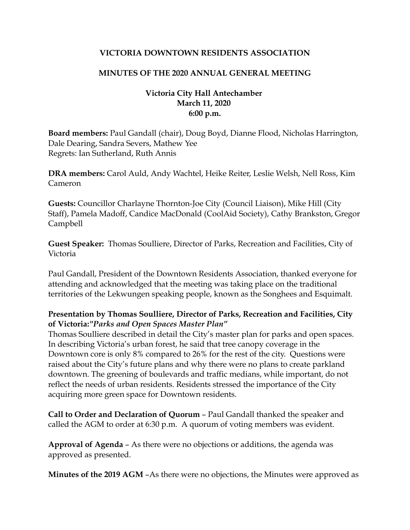### **VICTORIA DOWNTOWN RESIDENTS ASSOCIATION**

### **MINUTES OF THE 2020 ANNUAL GENERAL MEETING**

### **Victoria City Hall Antechamber March 11, 2020 6:00 p.m.**

**Board members:** Paul Gandall (chair), Doug Boyd, Dianne Flood, Nicholas Harrington, Dale Dearing, Sandra Severs, Mathew Yee Regrets: Ian Sutherland, Ruth Annis

**DRA members:** Carol Auld, Andy Wachtel, Heike Reiter, Leslie Welsh, Nell Ross, Kim Cameron

**Guests:** Councillor Charlayne Thornton-Joe City (Council Liaison), Mike Hill (City Staff), Pamela Madoff, Candice MacDonald (CoolAid Society), Cathy Brankston, Gregor Campbell

**Guest Speaker:** Thomas Soulliere, Director of Parks, Recreation and Facilities, City of Victoria

Paul Gandall, President of the Downtown Residents Association, thanked everyone for attending and acknowledged that the meeting was taking place on the traditional territories of the Lekwungen speaking people, known as the Songhees and Esquimalt.

# **Presentation by Thomas Soulliere, Director of Parks, Recreation and Facilities, City of Victoria:***"Parks and Open Spaces Master Plan"*

Thomas Soulliere described in detail the City's master plan for parks and open spaces. In describing Victoria's urban forest, he said that tree canopy coverage in the Downtown core is only 8% compared to 26% for the rest of the city. Questions were raised about the City's future plans and why there were no plans to create parkland downtown. The greening of boulevards and traffic medians, while important, do not reflect the needs of urban residents. Residents stressed the importance of the City acquiring more green space for Downtown residents.

**Call to Order and Declaration of Quorum** – Paul Gandall thanked the speaker and called the AGM to order at 6:30 p.m. A quorum of voting members was evident.

**Approval of Agenda** – As there were no objections or additions, the agenda was approved as presented.

**Minutes of the 2019 AGM** –As there were no objections, the Minutes were approved as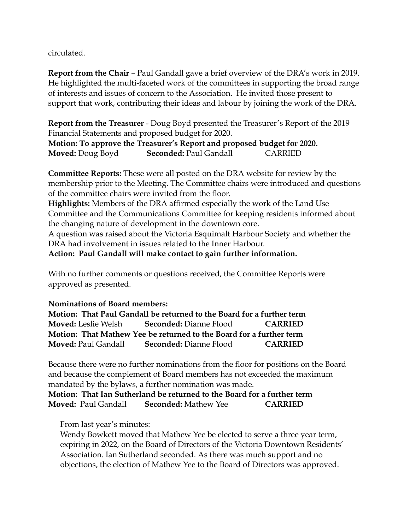circulated.

**Report from the Chair** – Paul Gandall gave a brief overview of the DRA's work in 2019. He highlighted the multi-faceted work of the committees in supporting the broad range of interests and issues of concern to the Association. He invited those present to support that work, contributing their ideas and labour by joining the work of the DRA.

**Report from the Treasurer** - Doug Boyd presented the Treasurer's Report of the 2019 Financial Statements and proposed budget for 2020.

**Motion: To approve the Treasurer's Report and proposed budget for 2020. Moved:** Doug Boyd **Seconded:** Paul Gandall CARRIED

**Committee Reports:** These were all posted on the DRA website for review by the membership prior to the Meeting. The Committee chairs were introduced and questions of the committee chairs were invited from the floor.

**Highlights:** Members of the DRA affirmed especially the work of the Land Use Committee and the Communications Committee for keeping residents informed about the changing nature of development in the downtown core.

A question was raised about the Victoria Esquimalt Harbour Society and whether the DRA had involvement in issues related to the Inner Harbour.

**Action: Paul Gandall will make contact to gain further information.**

With no further comments or questions received, the Committee Reports were approved as presented.

# **Nominations of Board members:**

**Motion: That Paul Gandall be returned to the Board for a further term Moved:** Leslie Welsh **Seconded:** Dianne Flood **CARRIED Motion: That Mathew Yee be returned to the Board for a further term Moved:** Paul Gandall **Seconded:** Dianne Flood **CARRIED**

Because there were no further nominations from the floor for positions on the Board and because the complement of Board members has not exceeded the maximum mandated by the bylaws, a further nomination was made.

**Motion: That Ian Sutherland be returned to the Board for a further term Moved:** Paul Gandall **Seconded:** Mathew Yee **CARRIED**

From last year's minutes:

Wendy Bowkett moved that Mathew Yee be elected to serve a three year term, expiring in 2022, on the Board of Directors of the Victoria Downtown Residents' Association. Ian Sutherland seconded. As there was much support and no objections, the election of Mathew Yee to the Board of Directors was approved.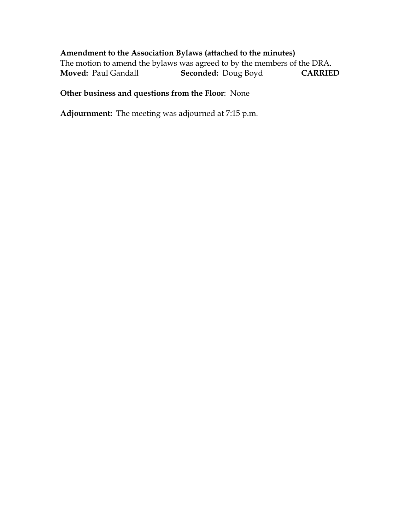# **Amendment to the Association Bylaws (attached to the minutes)**

The motion to amend the bylaws was agreed to by the members of the DRA. **Moved:** Paul Gandall **Seconded:** Doug Boyd **CARRIED**

# **Other business and questions from the Floor**: None

**Adjournment:** The meeting was adjourned at 7:15 p.m.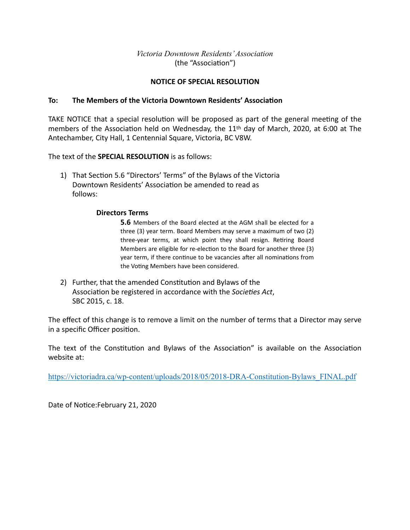### *Victoria Downtown Residents' Association* (the "Association")

### **NOTICE OF SPECIAL RESOLUTION**

#### **To:** The Members of the Victoria Downtown Residents' Association

TAKE NOTICE that a special resolution will be proposed as part of the general meeting of the members of the Association held on Wednesday, the 11<sup>th</sup> day of March, 2020, at 6:00 at The Antechamber, City Hall, 1 Centennial Square, Victoria, BC V8W.

The text of the **SPECIAL RESOLUTION** is as follows:

1) That Section 5.6 "Directors' Terms" of the Bylaws of the Victoria Downtown Residents' Association be amended to read as follows: 

#### **Directors Terms**

**5.6** Members of the Board elected at the AGM shall be elected for a three  $(3)$  year term. Board Members may serve a maximum of two  $(2)$ three-year terms, at which point they shall resign. Retiring Board Members are eligible for re-election to the Board for another three (3) year term, if there continue to be vacancies after all nominations from the Voting Members have been considered.

2) Further, that the amended Constitution and Bylaws of the Association be registered in accordance with the *Societies Act*, SBC 2015, c. 18.

The effect of this change is to remove a limit on the number of terms that a Director may serve in a specific Officer position.

The text of the Constitution and Bylaws of the Association" is available on the Association website at:

https://victoriadra.ca/wp-content/uploads/2018/05/2018-DRA-Constitution-Bylaws\_FINAL.pdf

Date of Notice:February 21, 2020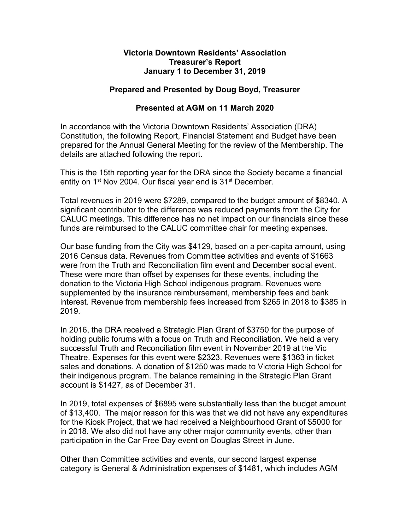### **Victoria Downtown Residents' Association Treasurer's Report January 1 to December 31, 2019**

### **Prepared and Presented by Doug Boyd, Treasurer**

### **Presented at AGM on 11 March 2020**

In accordance with the Victoria Downtown Residents' Association (DRA) Constitution, the following Report, Financial Statement and Budget have been prepared for the Annual General Meeting for the review of the Membership. The details are attached following the report.

This is the 15th reporting year for the DRA since the Society became a financial entity on 1<sup>st</sup> Nov 2004. Our fiscal year end is 31<sup>st</sup> December.

Total revenues in 2019 were \$7289, compared to the budget amount of \$8340. A significant contributor to the difference was reduced payments from the City for CALUC meetings. This difference has no net impact on our financials since these funds are reimbursed to the CALUC committee chair for meeting expenses.

Our base funding from the City was \$4129, based on a per-capita amount, using 2016 Census data. Revenues from Committee activities and events of \$1663 were from the Truth and Reconciliation film event and December social event. These were more than offset by expenses for these events, including the donation to the Victoria High School indigenous program. Revenues were supplemented by the insurance reimbursement, membership fees and bank interest. Revenue from membership fees increased from \$265 in 2018 to \$385 in 2019.

In 2016, the DRA received a Strategic Plan Grant of \$3750 for the purpose of holding public forums with a focus on Truth and Reconciliation. We held a very successful Truth and Reconciliation film event in November 2019 at the Vic Theatre. Expenses for this event were \$2323. Revenues were \$1363 in ticket sales and donations. A donation of \$1250 was made to Victoria High School for their indigenous program. The balance remaining in the Strategic Plan Grant account is \$1427, as of December 31.

In 2019, total expenses of \$6895 were substantially less than the budget amount of \$13,400. The major reason for this was that we did not have any expenditures for the Kiosk Project, that we had received a Neighbourhood Grant of \$5000 for in 2018. We also did not have any other major community events, other than participation in the Car Free Day event on Douglas Street in June.

Other than Committee activities and events, our second largest expense category is General & Administration expenses of \$1481, which includes AGM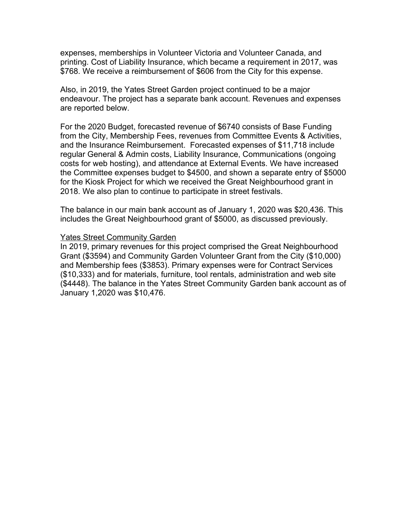expenses, memberships in Volunteer Victoria and Volunteer Canada, and printing. Cost of Liability Insurance, which became a requirement in 2017, was \$768. We receive a reimbursement of \$606 from the City for this expense.

Also, in 2019, the Yates Street Garden project continued to be a major endeavour. The project has a separate bank account. Revenues and expenses are reported below.

For the 2020 Budget, forecasted revenue of \$6740 consists of Base Funding from the City, Membership Fees, revenues from Committee Events & Activities, and the Insurance Reimbursement. Forecasted expenses of \$11,718 include regular General & Admin costs, Liability Insurance, Communications (ongoing costs for web hosting), and attendance at External Events. We have increased the Committee expenses budget to \$4500, and shown a separate entry of \$5000 for the Kiosk Project for which we received the Great Neighbourhood grant in 2018. We also plan to continue to participate in street festivals.

The balance in our main bank account as of January 1, 2020 was \$20,436. This includes the Great Neighbourhood grant of \$5000, as discussed previously.

#### Yates Street Community Garden

In 2019, primary revenues for this project comprised the Great Neighbourhood Grant (\$3594) and Community Garden Volunteer Grant from the City (\$10,000) and Membership fees (\$3853). Primary expenses were for Contract Services (\$10,333) and for materials, furniture, tool rentals, administration and web site (\$4448). The balance in the Yates Street Community Garden bank account as of January 1,2020 was \$10,476.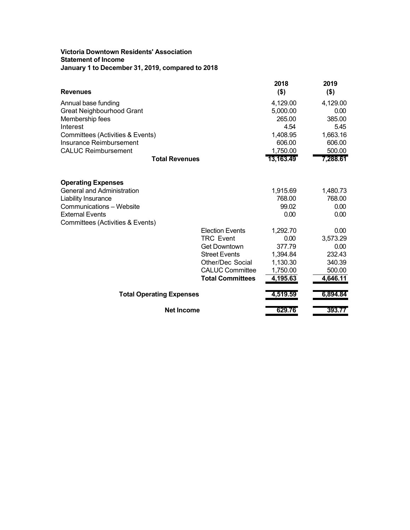#### **Victoria Downtown Residents' Association Statement of Income January 1 to December 31, 2019, compared to 2018**

| <b>Revenues</b>                  |                         | 2018<br>$($ \$) | 2019<br>$($ \$) |
|----------------------------------|-------------------------|-----------------|-----------------|
| Annual base funding              |                         | 4,129.00        | 4,129.00        |
| Great Neighbourhood Grant        |                         | 5,000.00        | 0.00            |
| Membership fees                  |                         | 265.00          | 385.00          |
| Interest                         |                         | 4.54            | 5.45            |
| Committees (Activities & Events) |                         | 1,408.95        | 1,663.16        |
| <b>Insurance Reimbursement</b>   |                         | 606.00          | 606.00          |
| <b>CALUC Reimbursement</b>       |                         | 1,750.00        | 500.00          |
|                                  | <b>Total Revenues</b>   | 13,163.49       | 7,288.61        |
| <b>Operating Expenses</b>        |                         |                 |                 |
| General and Administration       |                         | 1,915.69        | 1,480.73        |
| Liability Insurance              |                         | 768.00          | 768.00          |
| <b>Communications - Website</b>  |                         | 99.02           | 0.00            |
| External Events                  |                         | 0.00            | 0.00            |
| Committees (Activities & Events) |                         |                 |                 |
|                                  | <b>Election Events</b>  | 1,292.70        | 0.00            |
|                                  | <b>TRC Event</b>        | 0.00            | 3,573.29        |
|                                  | <b>Get Downtown</b>     | 377.79          | 0.00            |
|                                  | <b>Street Events</b>    | 1,394.84        | 232.43          |
|                                  | Other/Dec Social        | 1,130.30        | 340.39          |
|                                  | <b>CALUC Committee</b>  | 1,750.00        | 500.00          |
|                                  | <b>Total Committees</b> | 4,195.63        | 4,646.11        |
| <b>Total Operating Expenses</b>  |                         | 4,519.59        | 6,894.84        |
| <b>Net Income</b>                |                         | 629.76          | 393.77          |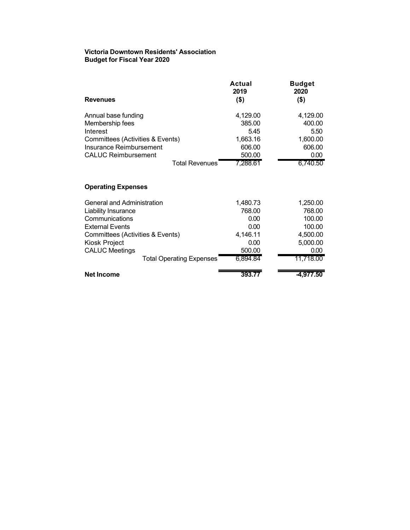#### **Victoria Downtown Residents' Association Budget for Fiscal Year 2020**

| <b>Revenues</b>                  | Actual<br>2019<br>$($ \$) | <b>Budget</b><br>2020<br>(\$) |
|----------------------------------|---------------------------|-------------------------------|
| Annual base funding              | 4,129.00                  | 4,129.00                      |
| Membership fees                  | 385.00                    | 400.00                        |
| Interest                         | 5.45                      | 5.50                          |
| Committees (Activities & Events) | 1,663.16                  | 1,600.00                      |
| Insurance Reimbursement          | 606.00                    | 606.00                        |
| <b>CALUC Reimbursement</b>       | 500.00                    | 0.00                          |
| <b>Total Revenues</b>            | 7,288.61                  | 6.740.50                      |

### **Operating Expenses**

| <b>General and Administration</b> | 1,480.73 | 1,250.00  |
|-----------------------------------|----------|-----------|
| <b>Liability Insurance</b>        | 768.00   | 768.00    |
| Communications                    | 0.00     | 100.00    |
| <b>External Events</b>            | 0.00     | 100.00    |
| Committees (Activities & Events)  | 4,146.11 | 4,500.00  |
| Kiosk Project                     | 0.00     | 5,000.00  |
| <b>CALUC Meetings</b>             | 500.00   | 0.00      |
| <b>Total Operating Expenses</b>   | 6,894.84 | 11,718.00 |
| <b>Net Income</b>                 | 393.77   | -4.977.50 |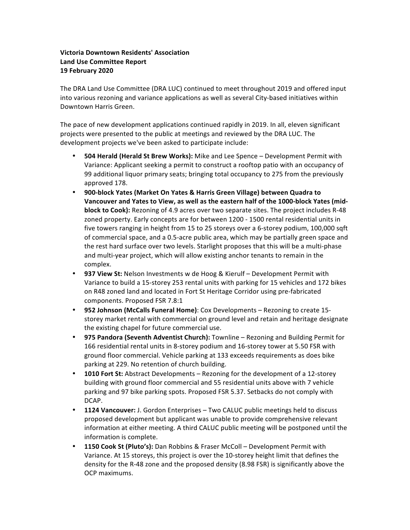### **Victoria Downtown Residents' Association Land Use Committee Report 19 February 2020**

The DRA Land Use Committee (DRA LUC) continued to meet throughout 2019 and offered input into various rezoning and variance applications as well as several City-based initiatives within Downtown Harris Green.

The pace of new development applications continued rapidly in 2019. In all, eleven significant projects were presented to the public at meetings and reviewed by the DRA LUC. The development projects we've been asked to participate include:

- **504 Herald (Herald St Brew Works):** Mike and Lee Spence Development Permit with Variance: Applicant seeking a permit to construct a rooftop patio with an occupancy of 99 additional liquor primary seats; bringing total occupancy to 275 from the previously approved 178.
- 900-block Yates (Market On Yates & Harris Green Village) between Quadra to Vancouver and Yates to View, as well as the eastern half of the 1000-block Yates (mid**block to Cook):** Rezoning of 4.9 acres over two separate sites. The project includes R-48 zoned property. Early concepts are for between 1200 - 1500 rental residential units in five towers ranging in height from 15 to 25 storeys over a 6-storey podium, 100,000 sqft of commercial space, and a 0.5-acre public area, which may be partially green space and the rest hard surface over two levels. Starlight proposes that this will be a multi-phase and multi-year project, which will allow existing anchor tenants to remain in the complex.
- 937 View St: Nelson Investments w de Hoog & Kierulf Development Permit with Variance to build a 15-storey 253 rental units with parking for 15 vehicles and 172 bikes on R48 zoned land and located in Fort St Heritage Corridor using pre-fabricated components. Proposed FSR 7.8:1
- **952 Johnson (McCalls Funeral Home)**: Cox Developments Rezoning to create 15storey market rental with commercial on ground level and retain and heritage designate the existing chapel for future commercial use.
- **975 Pandora (Seventh Adventist Church):** Townline Rezoning and Building Permit for 166 residential rental units in 8-storey podium and 16-storey tower at 5.50 FSR with ground floor commercial. Vehicle parking at 133 exceeds requirements as does bike parking at 229. No retention of church building.
- **1010 Fort St:** Abstract Developments Rezoning for the development of a 12-storey building with ground floor commercial and 55 residential units above with 7 vehicle parking and 97 bike parking spots. Proposed FSR 5.37. Setbacks do not comply with DCAP.
- **1124 Vancouver:** J. Gordon Enterprises Two CALUC public meetings held to discuss proposed development but applicant was unable to provide comprehensive relevant information at either meeting. A third CALUC public meeting will be postponed until the information is complete.
- **1150 Cook St (Pluto's):** Dan Robbins & Fraser McColl Development Permit with Variance. At 15 storeys, this project is over the 10-storey height limit that defines the density for the R-48 zone and the proposed density (8.98 FSR) is significantly above the OCP maximums.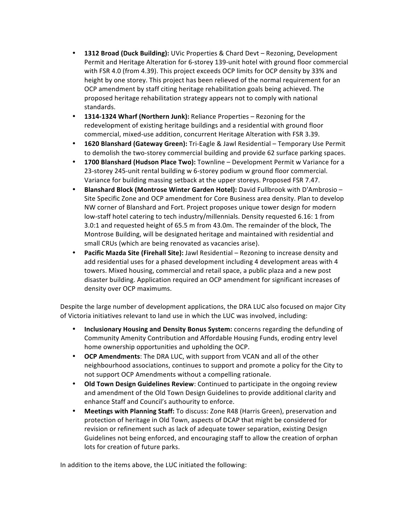- **1312 Broad (Duck Building):** UVic Properties & Chard Devt Rezoning, Development Permit and Heritage Alteration for 6-storey 139-unit hotel with ground floor commercial with FSR 4.0 (from 4.39). This project exceeds OCP limits for OCP density by 33% and height by one storey. This project has been relieved of the normal requirement for an OCP amendment by staff citing heritage rehabilitation goals being achieved. The proposed heritage rehabilitation strategy appears not to comply with national standards.
- **1314-1324 Wharf (Northern Junk):** Reliance Properties Rezoning for the redevelopment of existing heritage buildings and a residential with ground floor commercial, mixed-use addition, concurrent Heritage Alteration with FSR 3.39.
- **1620 Blanshard (Gateway Green):** Tri-Eagle & Jawl Residential Temporary Use Permit to demolish the two-storey commercial building and provide 62 surface parking spaces.
- **1700 Blanshard (Hudson Place Two):** Townline Development Permit w Variance for a 23-storey 245-unit rental building w 6-storey podium w ground floor commercial. Variance for building massing setback at the upper storeys. Proposed FSR 7.47.
- **Blanshard Block (Montrose Winter Garden Hotel):** David Fullbrook with D'Ambrosio -Site Specific Zone and OCP amendment for Core Business area density. Plan to develop NW corner of Blanshard and Fort. Project proposes unique tower design for modern low-staff hotel catering to tech industry/millennials. Density requested 6.16: 1 from 3.0:1 and requested height of 65.5 m from 43.0m. The remainder of the block, The Montrose Building, will be designated heritage and maintained with residential and small CRUs (which are being renovated as vacancies arise).
- **Pacific Mazda Site (Firehall Site):** Jawl Residential Rezoning to increase density and add residential uses for a phased development including 4 development areas with 4 towers. Mixed housing, commercial and retail space, a public plaza and a new post disaster building. Application required an OCP amendment for significant increases of density over OCP maximums.

Despite the large number of development applications, the DRA LUC also focused on major City of Victoria initiatives relevant to land use in which the LUC was involved, including:

- **Inclusionary Housing and Density Bonus System:** concerns regarding the defunding of Community Amenity Contribution and Affordable Housing Funds, eroding entry level home ownership opportunities and upholding the OCP.
- **OCP Amendments:** The DRA LUC, with support from VCAN and all of the other neighbourhood associations, continues to support and promote a policy for the City to not support OCP Amendments without a compelling rationale.
- **Old Town Design Guidelines Review**: Continued to participate in the ongoing review and amendment of the Old Town Design Guidelines to provide additional clarity and enhance Staff and Council's authourity to enforce.
- Meetings with Planning Staff: To discuss: Zone R48 (Harris Green), preservation and protection of heritage in Old Town, aspects of DCAP that might be considered for revision or refinement such as lack of adequate tower separation, existing Design Guidelines not being enforced, and encouraging staff to allow the creation of orphan lots for creation of future parks.

In addition to the items above, the LUC initiated the following: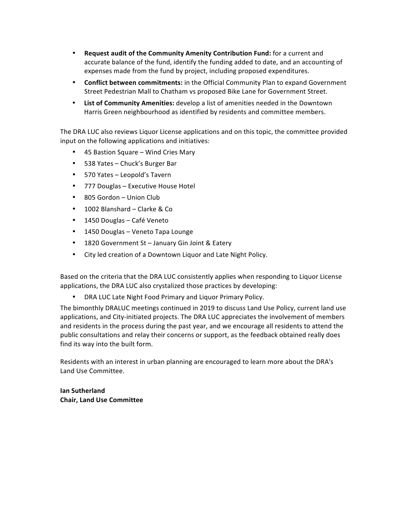- **Request audit of the Community Amenity Contribution Fund:** for a current and accurate balance of the fund, identify the funding added to date, and an accounting of expenses made from the fund by project, including proposed expenditures.
- **Conflict between commitments:** in the Official Community Plan to expand Government Street Pedestrian Mall to Chatham vs proposed Bike Lane for Government Street.
- List of Community Amenities: develop a list of amenities needed in the Downtown Harris Green neighbourhood as identified by residents and committee members.

The DRA LUC also reviews Liquor License applications and on this topic, the committee provided input on the following applications and initiatives:

- 45 Bastion Square Wind Cries Mary
- 538 Yates Chuck's Burger Bar
- 570 Yates Leopold's Tavern
- 777 Douglas Executive House Hotel
- 805 Gordon Union Club
- 1002 Blanshard Clarke & Co
- 1450 Douglas Café Veneto
- 1450 Douglas Veneto Tapa Lounge
- 1820 Government St January Gin Joint & Eatery
- City led creation of a Downtown Liquor and Late Night Policy.

Based on the criteria that the DRA LUC consistently applies when responding to Liquor License applications, the DRA LUC also crystalized those practices by developing:

DRA LUC Late Night Food Primary and Liquor Primary Policy.

The bimonthly DRALUC meetings continued in 2019 to discuss Land Use Policy, current land use applications, and City-initiated projects. The DRA LUC appreciates the involvement of members and residents in the process during the past year, and we encourage all residents to attend the public consultations and relay their concerns or support, as the feedback obtained really does find its way into the built form.

Residents with an interest in urban planning are encouraged to learn more about the DRA's Land Use Committee.

**Ian Sutherland Chair, Land Use Committee**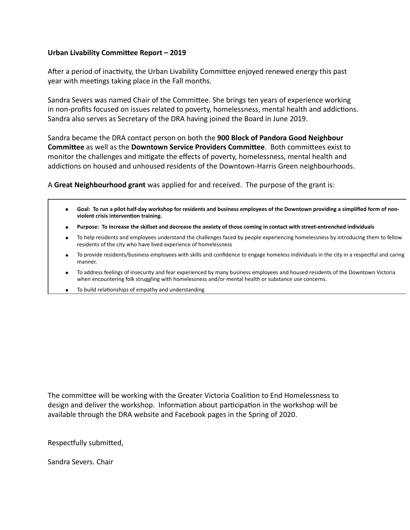#### Urban Livability Committee Report - 2019

After a period of inactivity, the Urban Livability Committee enjoyed renewed energy this past year with meetings taking place in the Fall months.

Sandra Severs was named Chair of the Committee. She brings ten years of experience working in non-profits focused on issues related to poverty, homelessness, mental health and addictions. Sandra also serves as Secretary of the DRA having joined the Board in June 2019.

Sandra became the DRA contact person on both the **900 Block of Pandora Good Neighbour Committee** as well as the **Downtown Service Providers Committee**. Both committees exist to monitor the challenges and mitigate the effects of poverty, homelessness, mental health and addictions on housed and unhoused residents of the Downtown-Harris Green neighbourhoods.

A **Great Neighbourhood grant** was applied for and received. The purpose of the grant is:

- **Goal: To run a pilot half-day workshop for residents and business employees of the Downtown providing a simplified form of non**violent crisis intervention training. **●**
- **● Purpose: To increase the skillset and decrease the anxiety of those coming in contact with street-entrenched individuals**
- To help residents and employees understand the challenges faced by people experiencing homelessness by introducing them to fellow residents of the city who have lived experience of homelessness
- To provide residents/business employees with skills and confidence to engage homeless individuals in the city in a respectful and caring manner.
- To address feelings of insecurity and fear experienced by many business employees and housed residents of the Downtown Victoria when encountering folk struggling with homelessness and/or mental health or substance use concerns.
- To build relationships of empathy and understanding

The committee will be working with the Greater Victoria Coalition to End Homelessness to design and deliver the workshop. Information about participation in the workshop will be available through the DRA website and Facebook pages in the Spring of 2020.

Respectfully submitted,

Sandra Severs. Chair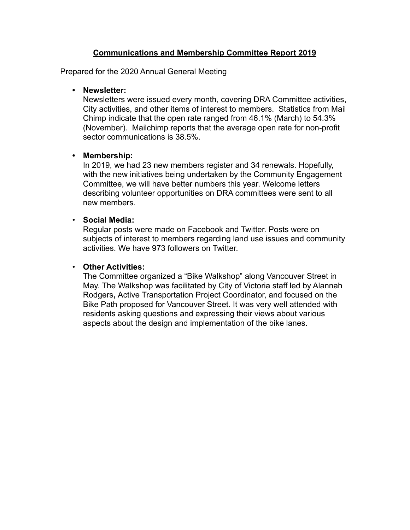### **Communications and Membership Committee Report 2019**

Prepared for the 2020 Annual General Meeting

### **• Newsletter:**

Newsletters were issued every month, covering DRA Committee activities, City activities, and other items of interest to members. Statistics from Mail Chimp indicate that the open rate ranged from 46.1% (March) to 54.3% (November). Mailchimp reports that the average open rate for non-profit sector communications is 38.5%.

### **• Membership:**

In 2019, we had 23 new members register and 34 renewals. Hopefully, with the new initiatives being undertaken by the Community Engagement Committee, we will have better numbers this year. Welcome letters describing volunteer opportunities on DRA committees were sent to all new members.

# • **Social Media:**

Regular posts were made on Facebook and Twitter. Posts were on subjects of interest to members regarding land use issues and community activities. We have 973 followers on Twitter.

### • **Other Activities:**

The Committee organized a "Bike Walkshop" along Vancouver Street in May. The Walkshop was facilitated by City of Victoria staff led by Alannah Rodgers**,** Active Transportation Project Coordinator, and focused on the Bike Path proposed for Vancouver Street. It was very well attended with residents asking questions and expressing their views about various aspects about the design and implementation of the bike lanes.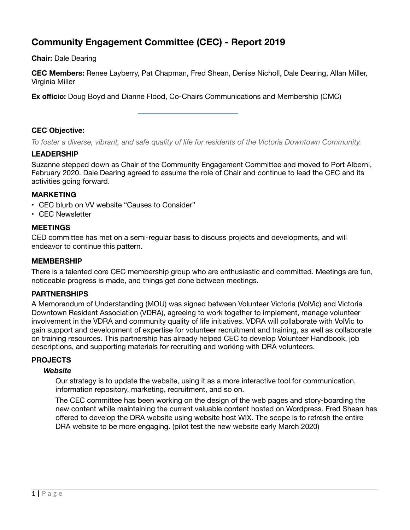# **Community Engagement Committee (CEC) - Report 2019**

**Chair:** Dale Dearing

**CEC Members:** Renee Layberry, Pat Chapman, Fred Shean, Denise Nicholl, Dale Dearing, Allan Miller, Virginia Miller

**Ex officio:** Doug Boyd and Dianne Flood, Co-Chairs Communications and Membership (CMC)

### **CEC Objective:**

*To foster a diverse, vibrant, and safe quality of life for residents of the Victoria Downtown Community.* 

#### **LEADERSHIP**

Suzanne stepped down as Chair of the Community Engagement Committee and moved to Port Alberni, February 2020. Dale Dearing agreed to assume the role of Chair and continue to lead the CEC and its activities going forward.

#### **MARKETING**

- CEC blurb on VV website "Causes to Consider"
- CEC Newsletter

#### **MEETINGS**

CED committee has met on a semi-regular basis to discuss projects and developments, and will endeavor to continue this pattern.

#### **MEMBERSHIP**

There is a talented core CEC membership group who are enthusiastic and committed. Meetings are fun, noticeable progress is made, and things get done between meetings.

#### **PARTNERSHIPS**

A Memorandum of Understanding (MOU) was signed between Volunteer Victoria (VolVic) and Victoria Downtown Resident Association (VDRA), agreeing to work together to implement, manage volunteer involvement in the VDRA and community quality of life initiatives. VDRA will collaborate with VolVic to gain support and development of expertise for volunteer recruitment and training, as well as collaborate on training resources. This partnership has already helped CEC to develop Volunteer Handbook, job descriptions, and supporting materials for recruiting and working with DRA volunteers.

### **PROJECTS**

#### *Website*

Our strategy is to update the website, using it as a more interactive tool for communication, information repository, marketing, recruitment, and so on.

The CEC committee has been working on the design of the web pages and story-boarding the new content while maintaining the current valuable content hosted on Wordpress. Fred Shean has offered to develop the DRA website using website host WIX. The scope is to refresh the entire DRA website to be more engaging. (pilot test the new website early March 2020)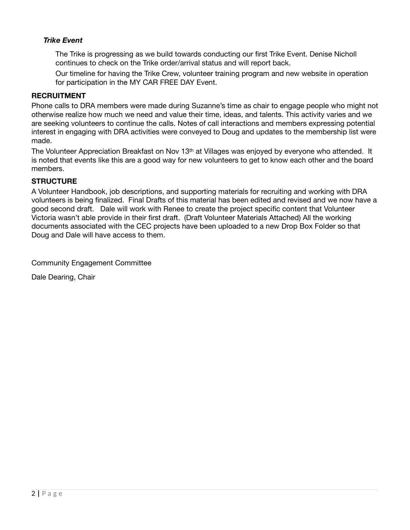### *Trike Event*

The Trike is progressing as we build towards conducting our first Trike Event. Denise Nicholl continues to check on the Trike order/arrival status and will report back.

Our timeline for having the Trike Crew, volunteer training program and new website in operation for participation in the MY CAR FREE DAY Event.

#### **RECRUITMENT**

Phone calls to DRA members were made during Suzanne's time as chair to engage people who might not otherwise realize how much we need and value their time, ideas, and talents. This activity varies and we are seeking volunteers to continue the calls. Notes of call interactions and members expressing potential interest in engaging with DRA activities were conveyed to Doug and updates to the membership list were made.

The Volunteer Appreciation Breakfast on Nov 13<sup>th</sup> at Villages was enjoyed by everyone who attended. It is noted that events like this are a good way for new volunteers to get to know each other and the board members.

### **STRUCTURE**

A Volunteer Handbook, job descriptions, and supporting materials for recruiting and working with DRA volunteers is being finalized. Final Drafts of this material has been edited and revised and we now have a good second draft. Dale will work with Renee to create the project specific content that Volunteer Victoria wasn't able provide in their first draft. (Draft Volunteer Materials Attached) All the working documents associated with the CEC projects have been uploaded to a new Drop Box Folder so that Doug and Dale will have access to them.

Community Engagement Committee

Dale Dearing, Chair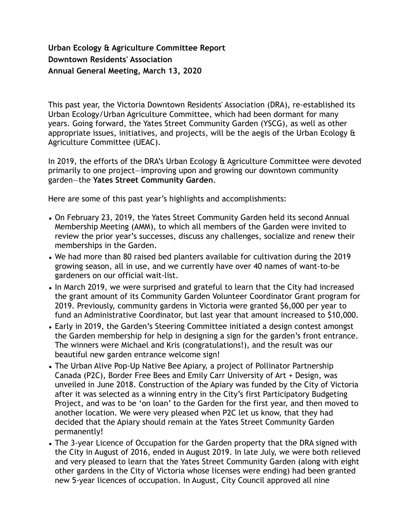# **Urban Ecology & Agriculture Committee Report Downtown Residents' Association Annual General Meeting, March 13, 2020**

This past year, the Victoria Downtown Residents' Association (DRA), re-established its Urban Ecology/Urban Agriculture Committee, which had been dormant for many years. Going forward, the Yates Street Community Garden (YSCG), as well as other appropriate issues, initiatives, and projects, will be the aegis of the Urban Ecology & Agriculture Committee (UEAC).

In 2019, the efforts of the DRA's Urban Ecology & Agriculture Committee were devoted primarily to one project—improving upon and growing our downtown community garden—the **Yates Street Community Garden**.

Here are some of this past year's highlights and accomplishments:

- On February 23, 2019, the Yates Street Community Garden held its second Annual Membership Meeting (AMM), to which all members of the Garden were invited to review the prior year's successes, discuss any challenges, socialize and renew their memberships in the Garden.
- We had more than 80 raised bed planters available for cultivation during the 2019 growing season, all in use, and we currently have over 40 names of want-to-be gardeners on our official wait-list.
- In March 2019, we were surprised and grateful to learn that the City had increased the grant amount of its Community Garden Volunteer Coordinator Grant program for 2019. Previously, community gardens in Victoria were granted \$6,000 per year to fund an Administrative Coordinator, but last year that amount increased to \$10,000.
- Early in 2019, the Garden's Steering Committee initiated a design contest amongst the Garden membership for help in designing a sign for the garden's front entrance. The winners were Michael and Kris (congratulations!), and the result was our beautiful new garden entrance welcome sign!
- The Urban Alive Pop-Up Native Bee Apiary, a project of Pollinator Partnership Canada (P2C), Border Free Bees and Emily Carr University of Art + Design, was unveiled in June 2018. Construction of the Apiary was funded by the City of Victoria after it was selected as a winning entry in the City's first Participatory Budgeting Project, and was to be 'on loan' to the Garden for the first year, and then moved to another location. We were very pleased when P2C let us know, that they had decided that the Apiary should remain at the Yates Street Community Garden permanently!
- The 3-year Licence of Occupation for the Garden property that the DRA signed with the City in August of 2016, ended in August 2019. In late July, we were both relieved and very pleased to learn that the Yates Street Community Garden (along with eight other gardens in the City of Victoria whose licenses were ending) had been granted new 5-year licences of occupation. In August, City Council approved all nine